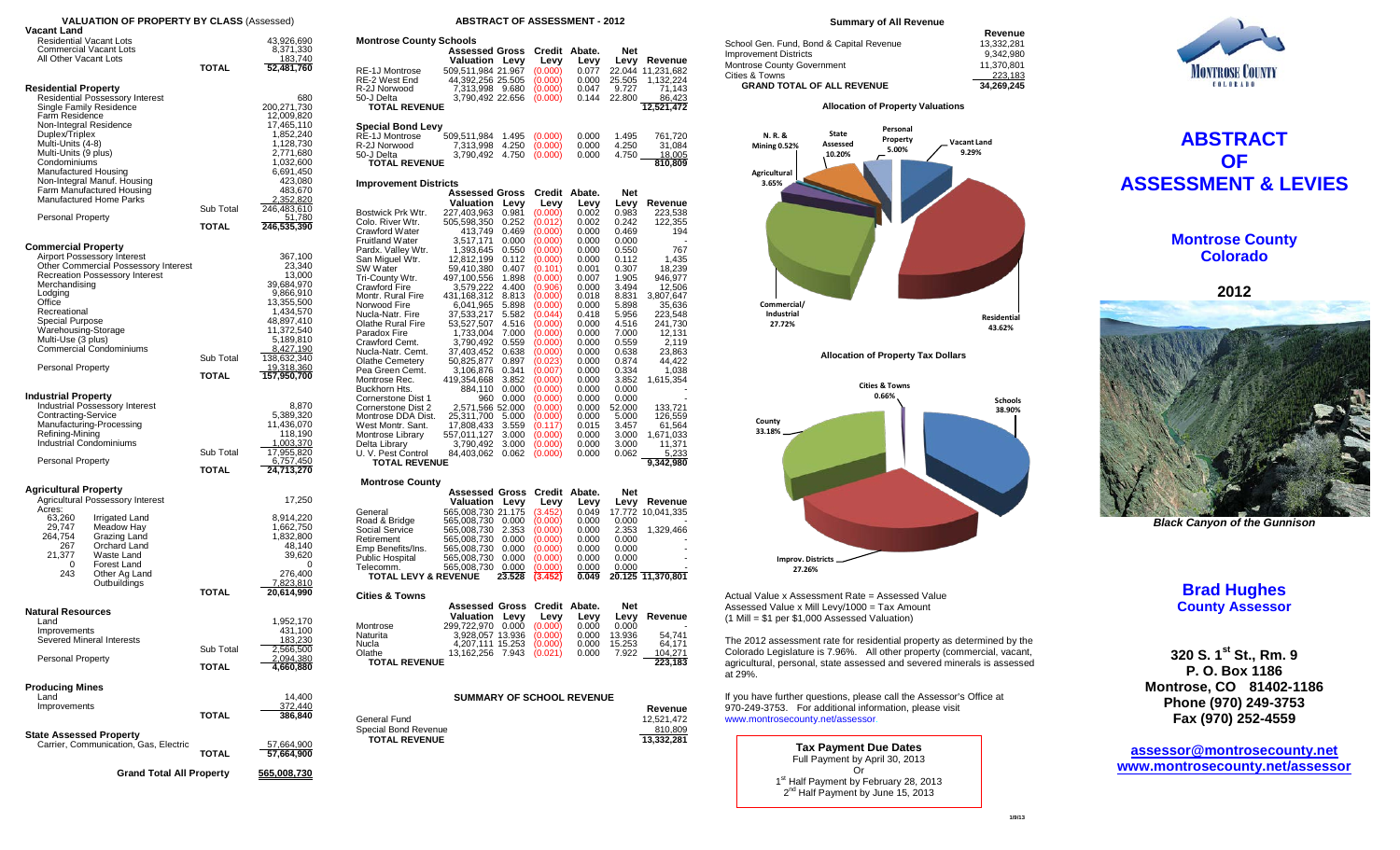| <b>VALUATION OF PROPERTY BY CLASS (Assessed)</b>                                                                                                                                                                                                                                                                                                                |                             |                                                                                                                                                                                                   |  |  |  |  |  |  |  |
|-----------------------------------------------------------------------------------------------------------------------------------------------------------------------------------------------------------------------------------------------------------------------------------------------------------------------------------------------------------------|-----------------------------|---------------------------------------------------------------------------------------------------------------------------------------------------------------------------------------------------|--|--|--|--|--|--|--|
| Vacant Land<br><b>Residential Vacant Lots</b><br><b>Commercial Vacant Lots</b><br>All Other Vacant Lots                                                                                                                                                                                                                                                         | TOTAL                       | 43,926,690<br>8,371,330<br>183,740<br>52,481,760                                                                                                                                                  |  |  |  |  |  |  |  |
| <b>Residential Property</b><br>Residential Possessory Interest<br>Single Family Residence<br>Farm Residence<br>Non-Integral Residence<br>Duplex/Triplex<br>Multi-Units (4-8)<br>Multi-Units (9 plus)<br>Condominiums<br>Manufactured Housing<br>Non-Integral Manuf. Housing<br>Farm Manufactured Housing<br><b>Manufactured Home Parks</b><br>Personal Property | Sub Total<br><b>TOTAL</b>   | 680<br>200,271,730<br>12,009,820<br>17,465,110<br>1,852,240<br>1,128,730<br>2,771,680<br>1,032,600<br>6,691,450<br>423,080<br>483,670<br>2,352,820<br>246,483,610<br><u>51,780</u><br>246,535,390 |  |  |  |  |  |  |  |
| <b>Commercial Property</b><br><b>Airport Possessory Interest</b><br>Other Commercial Possessory Interest<br><b>Recreation Possessory Interest</b><br>Merchandising<br>Lodging<br>Office<br>Recreational<br>Special Purpose<br>Warehousing-Storage<br>Multi-Use (3 plus)<br>Commercial Condominiums<br><b>Personal Property</b>                                  | Sub Total<br>TOTAL          | 367,100<br>23,340<br>13,000<br>39,684,970<br>9,866,910<br>13,355,500<br>1,434,570<br>48,897,410<br>11,372,540<br>5,189,810<br>8,427,190<br>138,632,340<br><u>19,318,360</u><br>157,950,700        |  |  |  |  |  |  |  |
| <b>Industrial Property</b><br>Industrial Possessory Interest<br>Contracting-Service<br>Manufacturing-Processing<br>Refining-Mining<br>Industrial Condominiums<br><b>Personal Property</b>                                                                                                                                                                       | Sub Total<br><b>TOTAL</b>   | 8,870<br>5,389,320<br>11,436,070<br>118,190<br><u>1,003,370</u><br>17,955,820<br>6,757,450<br>24,713,270                                                                                          |  |  |  |  |  |  |  |
| <b>Agricultural Property</b><br>Agricultural Possessory Interest<br>Acres:<br>63,260<br>Irrigated Land<br>Meadow Hay<br>29,747<br>264,754<br>Grazing Land<br>Orchard Land<br>267<br>21,377<br>Waste Land<br>Forest Land<br>0<br>243<br>Other Ag Land<br>Outbuildings                                                                                            | <b>TOTAL</b>                | 17,250<br>8,914,220<br>1,662,750<br>1,832,800<br>48,140<br>39,620<br>0<br>276,400<br>7,823,810<br>20,614,990                                                                                      |  |  |  |  |  |  |  |
| <b>Natural Resources</b><br>Land<br>Improvements<br>Severed Mineral Interests<br><b>Personal Property</b><br><b>Producing Mines</b><br>Land<br>Improvements                                                                                                                                                                                                     | Sub Total<br>TOTAL<br>TOTAL | 1,952,170<br>431,100<br>183.230<br>2,566,500<br>2,094,380<br>4,660,880<br>14,400<br><u>372,440</u><br>386,840                                                                                     |  |  |  |  |  |  |  |
| <b>State Assessed Property</b><br>Carrier, Communication, Gas, Electric<br><b>Grand Total All Property</b>                                                                                                                                                                                                                                                      | TOTAL                       | <u>57,664,900</u><br>57,664,900<br><u>565,008,730</u>                                                                                                                                             |  |  |  |  |  |  |  |

### **ABSTRACT OF ASSESSMENT - 2012**

| <b>Montrose County Schools</b>       |                               |                  |                    |                |                  |                       |  |  |  |  |  |
|--------------------------------------|-------------------------------|------------------|--------------------|----------------|------------------|-----------------------|--|--|--|--|--|
|                                      | <b>Assessed Gross</b>         |                  | Credit             | Abate.         | Net              |                       |  |  |  |  |  |
|                                      | Valuation                     | Levy             | Levy               | Levy           | Levy             | Revenue               |  |  |  |  |  |
| <b>RE-1J Montrose</b>                | 509,511,984 21.967            |                  | (0.000)            | 0.077          | 22.044           | 11,231,682            |  |  |  |  |  |
| RE-2 West End                        | 44,392,256 25.505             |                  | (0.000)            | 0.000          | 25.505           | 1,132,224             |  |  |  |  |  |
| R-2J Norwood<br>50-J Delta           | 7,313,998<br>3,790,492 22.656 | 9.680            | (0.000)<br>(0.000) | 0.047<br>0.144 | 9.727<br>22.800  | 71,143<br>86,423      |  |  |  |  |  |
| <b>TOTAL REVENUE</b>                 |                               |                  |                    |                |                  | 12,521,472            |  |  |  |  |  |
|                                      |                               |                  |                    |                |                  |                       |  |  |  |  |  |
| <b>Special Bond Levy</b>             |                               |                  |                    |                |                  |                       |  |  |  |  |  |
| RE-1J Montrose                       | 509,511,984                   | 1.495            | (0.000)            | 0.000          | 1.495            | 761,720               |  |  |  |  |  |
| R-2J Norwood                         | 7,313,998                     | 4.250            | (0.000)            | 0.000          | 4.250            | 31,084                |  |  |  |  |  |
| 50-J Delta                           | 3,790,492                     | 4.750            | (0.000)            | 0.000          | 4.750            | <u>18,005</u>         |  |  |  |  |  |
| <b>TOTAL REVENUE</b>                 |                               |                  |                    |                |                  | 810,809               |  |  |  |  |  |
| <b>Improvement Districts</b>         |                               |                  |                    |                |                  |                       |  |  |  |  |  |
|                                      | Assessed Gross                |                  | Credit             | Abate.         | Net              |                       |  |  |  |  |  |
|                                      | Valuation                     | Levy             | Levy               | Levy           | Levy             | Revenue               |  |  |  |  |  |
| Bostwick Prk Wtr.                    | 227,403,963                   | 0.981            | (0.000)            | 0.002          | 0.983            | 223,538               |  |  |  |  |  |
| Colo. River Wtr.                     | 505,598,350                   | 0.252            | (0.012)            | 0.002          | 0.242            | 122,355               |  |  |  |  |  |
| <b>Crawford Water</b>                | 413,749<br>3,517,171          | 0.469            | (0.000)            | 0.000          | 0.469            | 194                   |  |  |  |  |  |
| <b>Fruitland Water</b>               |                               | 0.000            | (0.000)            | 0.000          | 0.000            |                       |  |  |  |  |  |
| Pardx. Valley Wtr.                   | 1,393,645                     | 0.550            | (0.000)            | 0.000          | 0.550            | 767                   |  |  |  |  |  |
| San Miguel Wtr.                      | 12,812,199                    | 0.112            | (0.000)            | 0.000          | 0.112            | 1,435                 |  |  |  |  |  |
| SW Water<br>Tri-County Wtr.          | 59,410,380                    | 0.407<br>1.898   | (0.101)<br>(0.000) | 0.001<br>0.007 | 0.307<br>1.905   | 18,239<br>946,977     |  |  |  |  |  |
| Crawford Fire                        | 497,100,556<br>3,579,222      | 4.400            | (0.906)            | 0.000          | 3.494            | 12,506                |  |  |  |  |  |
| Montr. Rural Fire                    | 431,168,312                   | 8.813            | (0.000)            | 0.018          | 8.831            | 3,807,647             |  |  |  |  |  |
| Norwood Fire                         | 6,041,965                     | 5.898            | (0.000)            | 0.000          | 5.898            | 35,636                |  |  |  |  |  |
| Nucla-Natr. Fire                     | 37,533,217                    | 5.582            | (0.044)            | 0.418          | 5.956            | 223,548               |  |  |  |  |  |
| <b>Olathe Rural Fire</b>             | 53,527,507                    | 4.516            | (0.000)            | 0.000          | 4.516            | 241,730               |  |  |  |  |  |
| Paradox Fire                         | 1,733,004                     | 7.000            | (0.000)            | 0.000          | 7.000            | 12,131                |  |  |  |  |  |
| Crawford Cemt.                       | 3,790,492                     | 0.559            | (0.000)            | 0.000          | 0.559            | 2,119                 |  |  |  |  |  |
| Nucla-Natr. Cemt.                    | 37,403,452                    | 0.638            | (0.000)            | 0.000          | 0.638            | 23,863                |  |  |  |  |  |
| <b>Olathe Cemetery</b>               | 50,825,877                    | 0.897            | (0.023)            | 0.000          | 0.874            | 44,422                |  |  |  |  |  |
| Pea Green Cemt.<br>Montrose Rec.     | 3,106,876<br>419,354,668      | 0.341<br>3.852   | (0.007)            | 0.000<br>0.000 | 0.334<br>3.852   | 1,038                 |  |  |  |  |  |
| Buckhorn Hts.                        | 884,110                       | 0.000            | (0.000)<br>(0.000) | 0.000          | 0.000            | 1,615,354             |  |  |  |  |  |
| Cornerstone Dist 1                   | 960                           | 0.000            | (0.000)            | 0.000          | 0.000            |                       |  |  |  |  |  |
| Cornerstone Dist 2                   | 2,571,566 52.000              |                  | (0.000)            | 0.000          | 52.000           | 133,721               |  |  |  |  |  |
| Montrose DDA Dist.                   | 25,311,700                    | 5.000            | (0.000)            | 0.000          | 5.000            | 126,559               |  |  |  |  |  |
| West Montr. Sant.                    | 17,808,433                    | 3.559            | (0.117)            | 0.015          | 3.457            | 61,564                |  |  |  |  |  |
| Montrose Library                     | 557,011,127                   | 3.000            | (0.000)            | 0.000          | 3.000            | 1,671,033             |  |  |  |  |  |
| Delta Library                        | 3,790,492                     | 3.000            | (0.000)            | 0.000          | 3.000            | 11,371                |  |  |  |  |  |
| U. V. Pest Control                   | 84,403,062                    | 0.062            | (0.000)            | 0.000          | 0.062            | 5,233                 |  |  |  |  |  |
| <b>TOTAL REVENUE</b>                 |                               |                  |                    |                |                  | 9,342,980             |  |  |  |  |  |
| <b>Montrose County</b>               |                               |                  |                    |                |                  |                       |  |  |  |  |  |
|                                      | <b>Assessed Gross</b>         |                  | Credit             | Abate.         | Net              |                       |  |  |  |  |  |
|                                      | Valuation                     | Levy             | Levy               | Levy           | Levy             | Revenue               |  |  |  |  |  |
| General                              | 565,008,730                   | 21.175           | (3.452)            | 0.049          | 17.772           | 10,041,335            |  |  |  |  |  |
| Road & Bridge                        | 565,008,730                   | 0.000            | (0.000)            | 0.000          | 0.000            |                       |  |  |  |  |  |
| <b>Social Service</b>                | 565,008,730                   | 2.353            | (0.000)            | 0.000          | 2.353            | 1,329,466             |  |  |  |  |  |
| Retirement                           | 565,008,730                   | 0.000            | (0.000)            | 0.000          | 0.000            |                       |  |  |  |  |  |
| Emp Benefits/Ins.<br>Public Hospital | 565,008,730                   | 0.000<br>0.000   | (0.000)<br>(0.000) | 0.000<br>0.000 | 0.000<br>0.000   |                       |  |  |  |  |  |
| Telecomm.                            | 565,008,730<br>565,008,730    | 0.000            | (0.000)            | 0.000          | 0.000            |                       |  |  |  |  |  |
| <b>TOTAL LEVY &amp; REVENUE</b>      |                               | 23.528           | (3.452)            | 0.049          | 20.125           | 11,370,801            |  |  |  |  |  |
|                                      |                               |                  |                    |                |                  |                       |  |  |  |  |  |
| <b>Cities &amp; Towns</b>            |                               |                  |                    |                |                  |                       |  |  |  |  |  |
|                                      | <b>Assessed Gross</b>         |                  | Credit             | Abate.         | <b>Net</b>       |                       |  |  |  |  |  |
|                                      | Valuation                     | Levy             | Levy               | Levy           | Levy             | Revenue               |  |  |  |  |  |
| Montrose                             | 299,722,970                   | 0.000            | (0.000)            | 0.000          | 0.000            |                       |  |  |  |  |  |
| Naturita<br>Nucla                    | 3,928,057                     | 13.936<br>15.253 | (0.000)<br>(0.000) | 0.000<br>0.000 | 13.936<br>15.253 | 54,741                |  |  |  |  |  |
| Olathe                               | 4,207,111<br>13,162,256       | 7.943            | (0.021)            | 0.000          | 7.922            | 64,171<br>104,271     |  |  |  |  |  |
| <b>TOTAL REVENUE</b>                 |                               |                  |                    |                |                  | 223,183               |  |  |  |  |  |
|                                      |                               |                  |                    |                |                  |                       |  |  |  |  |  |
| <b>SUMMARY OF SCHOOL REVENUE</b>     |                               |                  |                    |                |                  |                       |  |  |  |  |  |
|                                      |                               |                  |                    |                |                  | Revenue               |  |  |  |  |  |
|                                      |                               |                  |                    |                |                  | 12,521,472            |  |  |  |  |  |
| General Fund                         |                               |                  |                    |                |                  |                       |  |  |  |  |  |
| Special Bond Revenue                 |                               |                  |                    |                |                  |                       |  |  |  |  |  |
| <b>TOTAL REVENUE</b>                 |                               |                  |                    |                |                  | 810,809<br>13,332,281 |  |  |  |  |  |

## **Summary of All Revenue**

| Revenue    |
|------------|
| 13.332.281 |
| 9.342.980  |
| 11.370.801 |
| 223.183    |
| 34.269.245 |
|            |

#### **Allocation of Property Valuations**



**Allocation of Property Tax Dollars**



Actual Value x Assessment Rate = Assessed Value Assessed Value x Mill Levy/1000 = Tax Amount (1 Mill = \$1 per \$1,000 Assessed Valuation)

The 2012 assessment rate for residential property as determined by the Colorado Legislature is 7.96%. All other property (commercial, vacant, agricultural, personal, state assessed and severed minerals is assessed at 29%.

If you have further questions, please call the Assessor's Office at 970-249-3753. For additional information, please visit www.montrosecounty.net/assessor.

> **Tax Payment Due Dates** Full Payment by April 30, 2013 Or 1st Half Payment by February 28, 2013 2<sup>nd</sup> Half Payment by June 15, 2013



# **ABSTRACT OF ASSESSMENT & LEVIES**

# **Montrose County Colorado**

**2012**



*Black Canyon of the Gunnison*

# **Brad Hughes County Assessor**

**320 S. 1st St., Rm. 9 P. O. Box 1186 Montrose, CO 81402-1186 Phone (970) 249-3753 Fax (970) 252-4559**

**[assessor@montrosecounty.net](mailto:assessor@montrosecounty.net) [www.montrosecounty.net/assessor](http://www.montrosecounty.net/assessor)**